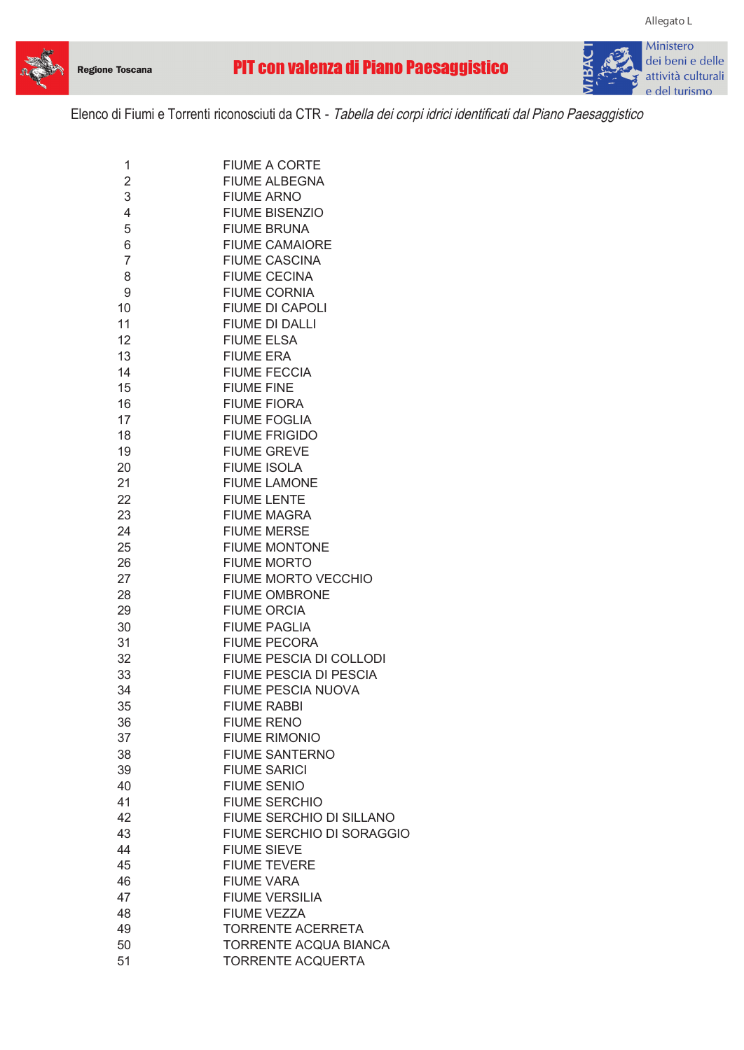



**Allegato L**

Elenco di Fiumi e Torrenti riconosciuti da CTR - Tabella dei corpi idrici identificati dal Piano Paesaggistico

| 1              | <b>FIUME A CORTE</b>          |
|----------------|-------------------------------|
| 2              | <b>FIUME ALBEGNA</b>          |
| 3              | <b>FIUME ARNO</b>             |
| 4              | <b>FIUME BISENZIO</b>         |
| 5              | <b>FIUME BRUNA</b>            |
| 6              | <b>FIUME CAMAIORE</b>         |
| $\overline{7}$ | <b>FIUME CASCINA</b>          |
| 8              | <b>FIUME CECINA</b>           |
| 9              | <b>FIUME CORNIA</b>           |
| 10             | <b>FIUME DI CAPOLI</b>        |
| 11             | FIUME DI DALLI                |
| 12             | <b>FIUME ELSA</b>             |
| 13             | <b>FIUME ERA</b>              |
| 14             | <b>FIUME FECCIA</b>           |
| 15             | <b>FIUME FINE</b>             |
|                |                               |
| 16             | <b>FIUME FIORA</b>            |
| 17             | <b>FIUME FOGLIA</b>           |
| 18             | <b>FIUME FRIGIDO</b>          |
| 19             | <b>FIUME GREVE</b>            |
| 20             | <b>FIUME ISOLA</b>            |
| 21             | <b>FIUME LAMONE</b>           |
| 22             | <b>FIUME LENTE</b>            |
| 23             | <b>FIUME MAGRA</b>            |
| 24             | <b>FIUME MERSE</b>            |
| 25             | <b>FIUME MONTONE</b>          |
| 26             | <b>FIUME MORTO</b>            |
| 27             | FIUME MORTO VECCHIO           |
| 28             | <b>FIUME OMBRONE</b>          |
| 29             | <b>FIUME ORCIA</b>            |
| 30             | <b>FIUME PAGLIA</b>           |
| 31             | <b>FIUME PECORA</b>           |
| 32             | FIUME PESCIA DI COLLODI       |
| 33             | <b>FIUME PESCIA DI PESCIA</b> |
| 34             | <b>FIUME PESCIA NUOVA</b>     |
| 35             | <b>FIUME RABBI</b>            |
| 36             | <b>FIUME RENO</b>             |
| 37             | <b>FIUME RIMONIO</b>          |
| 38             | <b>FIUME SANTERNO</b>         |
| 39             | <b>FIUME SARICI</b>           |
| 40             | <b>FIUME SENIO</b>            |
| 41             | <b>FIUME SERCHIO</b>          |
| 42             | FIUME SERCHIO DI SILLANO      |
| 43             | FIUME SERCHIO DI SORAGGIO     |
|                |                               |
| 44             | <b>FIUME SIEVE</b>            |
| 45             | <b>FIUME TEVERE</b>           |
| 46             | <b>FIUME VARA</b>             |
| 47             | <b>FIUME VERSILIA</b>         |
| 48             | <b>FIUME VEZZA</b>            |
| 49             | <b>TORRENTE ACERRETA</b>      |
| 50             | <b>TORRENTE ACQUA BIANCA</b>  |
| 51             | <b>TORRENTE ACQUERTA</b>      |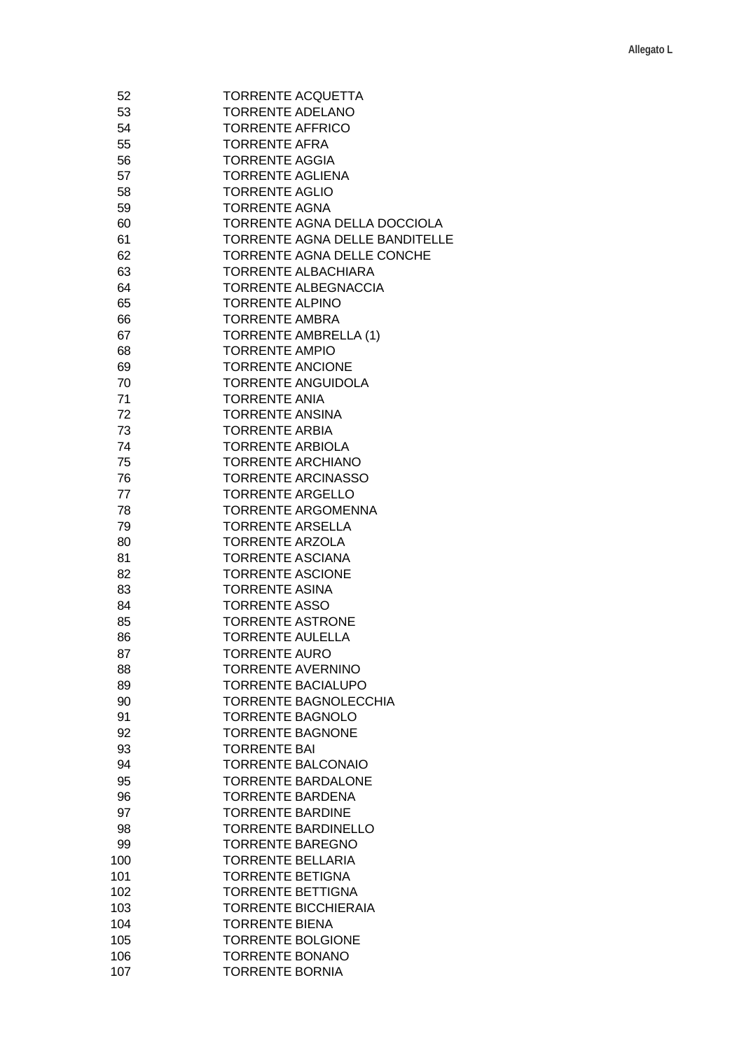| 52  | <b>TORRENTE ACQUETTA</b>       |
|-----|--------------------------------|
| 53  | <b>TORRENTE ADELANO</b>        |
| 54  | <b>TORRENTE AFFRICO</b>        |
| 55  | <b>TORRENTE AFRA</b>           |
| 56  | <b>TORRENTE AGGIA</b>          |
| 57  | <b>TORRENTE AGLIENA</b>        |
| 58  | <b>TORRENTE AGLIO</b>          |
| 59  | <b>TORRENTE AGNA</b>           |
| 60  | TORRENTE AGNA DELLA DOCCIOLA   |
| 61  | TORRENTE AGNA DELLE BANDITELLE |
| 62  | TORRENTE AGNA DELLE CONCHE     |
| 63  | <b>TORRENTE ALBACHIARA</b>     |
| 64  | <b>TORRENTE ALBEGNACCIA</b>    |
| 65  | <b>TORRENTE ALPINO</b>         |
| 66  | <b>TORRENTE AMBRA</b>          |
| 67  | <b>TORRENTE AMBRELLA (1)</b>   |
| 68  | <b>TORRENTE AMPIO</b>          |
| 69  | <b>TORRENTE ANCIONE</b>        |
| 70  | <b>TORRENTE ANGUIDOLA</b>      |
| 71  | <b>TORRENTE ANIA</b>           |
| 72  | <b>TORRENTE ANSINA</b>         |
| 73  | <b>TORRENTE ARBIA</b>          |
| 74  | <b>TORRENTE ARBIOLA</b>        |
| 75  | <b>TORRENTE ARCHIANO</b>       |
| 76  | <b>TORRENTE ARCINASSO</b>      |
| 77  | <b>TORRENTE ARGELLO</b>        |
| 78  | <b>TORRENTE ARGOMENNA</b>      |
| 79  | <b>TORRENTE ARSELLA</b>        |
| 80  | <b>TORRENTE ARZOLA</b>         |
| 81  | <b>TORRENTE ASCIANA</b>        |
| 82  | <b>TORRENTE ASCIONE</b>        |
| 83  | <b>TORRENTE ASINA</b>          |
| 84  | <b>TORRENTE ASSO</b>           |
| 85  | <b>TORRENTE ASTRONE</b>        |
| 86  | <b>TORRENTE AULELLA</b>        |
| 87  | <b>TORRENTE AURO</b>           |
| 88  | <b>TORRENTE AVERNINO</b>       |
| 89  | <b>TORRENTE BACIALUPO</b>      |
| 90  | <b>TORRENTE BAGNOLECCHIA</b>   |
| 91  | <b>TORRENTE BAGNOLO</b>        |
| 92  | <b>TORRENTE BAGNONE</b>        |
| 93  | <b>TORRENTE BAI</b>            |
| 94  | <b>TORRENTE BALCONAIO</b>      |
| 95  | <b>TORRENTE BARDALONE</b>      |
| 96  | <b>TORRENTE BARDENA</b>        |
| 97  | <b>TORRENTE BARDINE</b>        |
| 98  | <b>TORRENTE BARDINELLO</b>     |
| 99  | <b>TORRENTE BAREGNO</b>        |
| 100 | <b>TORRENTE BELLARIA</b>       |
| 101 | <b>TORRENTE BETIGNA</b>        |
| 102 | <b>TORRENTE BETTIGNA</b>       |
| 103 | <b>TORRENTE BICCHIERAIA</b>    |
| 104 | <b>TORRENTE BIENA</b>          |
| 105 | <b>TORRENTE BOLGIONE</b>       |
| 106 | <b>TORRENTE BONANO</b>         |
| 107 | <b>TORRENTE BORNIA</b>         |
|     |                                |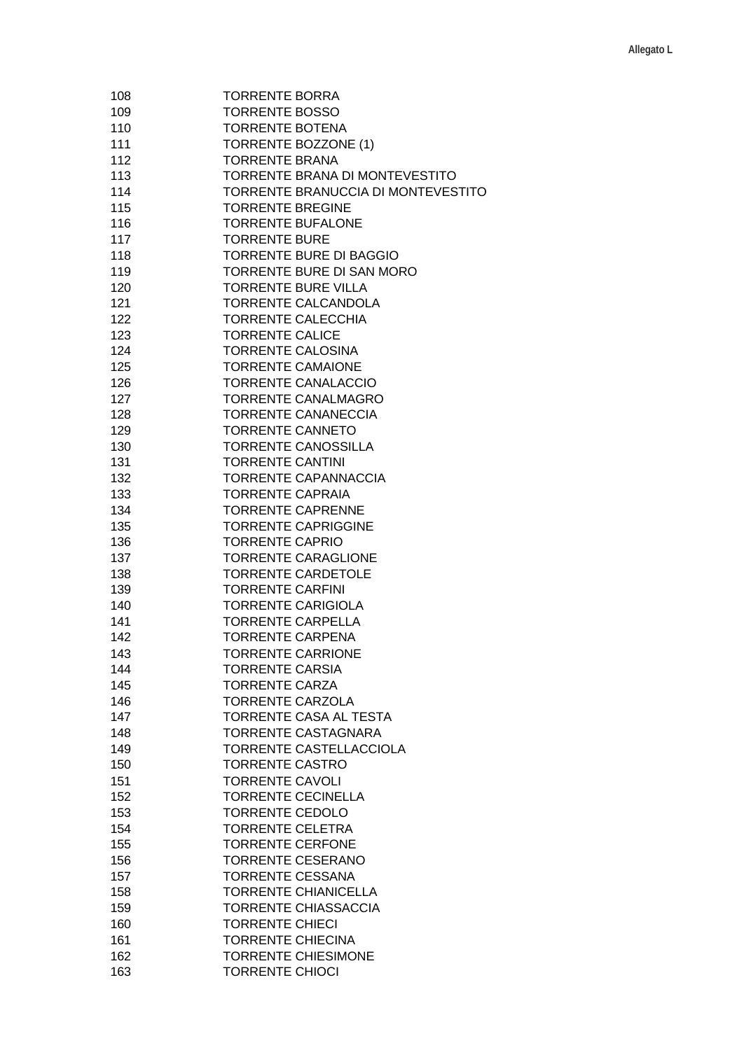| 108 | <b>TORRENTE BORRA</b>              |
|-----|------------------------------------|
| 109 | <b>TORRENTE BOSSO</b>              |
| 110 | <b>TORRENTE BOTENA</b>             |
| 111 | TORRENTE BOZZONE (1)               |
| 112 | <b>TORRENTE BRANA</b>              |
| 113 | TORRENTE BRANA DI MONTEVESTITO     |
| 114 | TORRENTE BRANUCCIA DI MONTEVESTITO |
| 115 | <b>TORRENTE BREGINE</b>            |
| 116 | <b>TORRENTE BUFALONE</b>           |
| 117 | <b>TORRENTE BURE</b>               |
| 118 | <b>TORRENTE BURE DI BAGGIO</b>     |
| 119 | TORRENTE BURE DI SAN MORO          |
| 120 | <b>TORRENTE BURE VILLA</b>         |
| 121 | TORRENTE CALCANDOLA                |
| 122 | <b>TORRENTE CALECCHIA</b>          |
| 123 | <b>TORRENTE CALICE</b>             |
| 124 | <b>TORRENTE CALOSINA</b>           |
| 125 | <b>TORRENTE CAMAIONE</b>           |
| 126 | <b>TORRENTE CANALACCIO</b>         |
| 127 | TORRENTE CANALMAGRO                |
| 128 | <b>TORRENTE CANANECCIA</b>         |
| 129 | <b>TORRENTE CANNETO</b>            |
| 130 | <b>TORRENTE CANOSSILLA</b>         |
| 131 | <b>TORRENTE CANTINI</b>            |
| 132 | <b>TORRENTE CAPANNACCIA</b>        |
| 133 | <b>TORRENTE CAPRAIA</b>            |
| 134 | <b>TORRENTE CAPRENNE</b>           |
| 135 | <b>TORRENTE CAPRIGGINE</b>         |
| 136 | <b>TORRENTE CAPRIO</b>             |
| 137 | <b>TORRENTE CARAGLIONE</b>         |
| 138 | <b>TORRENTE CARDETOLE</b>          |
| 139 | <b>TORRENTE CARFINI</b>            |
| 140 | <b>TORRENTE CARIGIOLA</b>          |
| 141 | <b>TORRENTE CARPELLA</b>           |
| 142 | <b>TORRENTE CARPENA</b>            |
| 143 | <b>TORRENTE CARRIONE</b>           |
| 144 | <b>TORRENTE CARSIA</b>             |
| 145 | <b>TORRENTE CARZA</b>              |
| 146 | <b>TORRENTE CARZOLA</b>            |
| 147 | TORRENTE CASA AL TESTA             |
| 148 | TORRENTE CASTAGNARA                |
| 149 | TORRENTE CASTELLACCIOLA            |
| 150 | <b>TORRENTE CASTRO</b>             |
| 151 | <b>TORRENTE CAVOLI</b>             |
| 152 | <b>TORRENTE CECINELLA</b>          |
| 153 | <b>TORRENTE CEDOLO</b>             |
| 154 | <b>TORRENTE CELETRA</b>            |
| 155 | <b>TORRENTE CERFONE</b>            |
| 156 | <b>TORRENTE CESERANO</b>           |
| 157 | <b>TORRENTE CESSANA</b>            |
| 158 | <b>TORRENTE CHIANICELLA</b>        |
| 159 | <b>TORRENTE CHIASSACCIA</b>        |
| 160 | <b>TORRENTE CHIECI</b>             |
| 161 | <b>TORRENTE CHIECINA</b>           |
|     | <b>TORRENTE CHIESIMONE</b>         |
| 162 |                                    |
| 163 | <b>TORRENTE CHIOCI</b>             |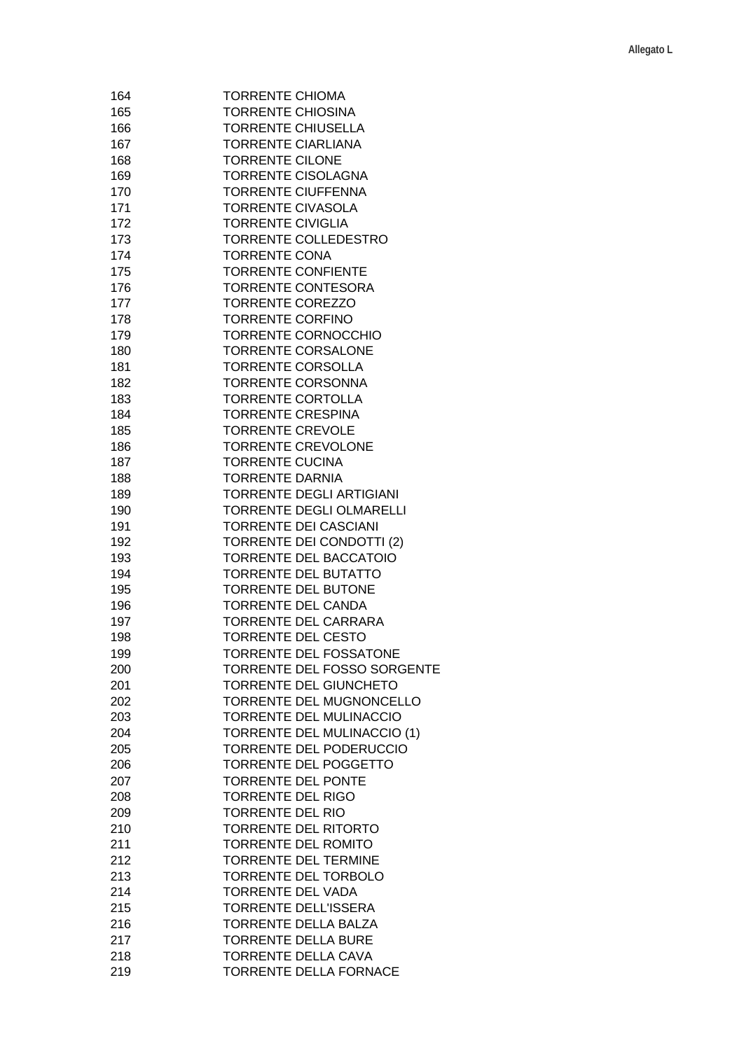| 164 | <b>TORRENTE CHIOMA</b>             |
|-----|------------------------------------|
| 165 | <b>TORRENTE CHIOSINA</b>           |
| 166 | <b>TORRENTE CHIUSELLA</b>          |
| 167 | <b>TORRENTE CIARLIANA</b>          |
| 168 | <b>TORRENTE CILONE</b>             |
| 169 | TORRENTE CISOLAGNA                 |
| 170 | <b>TORRENTE CIUFFENNA</b>          |
| 171 | <b>TORRENTE CIVASOLA</b>           |
| 172 | <b>TORRENTE CIVIGLIA</b>           |
| 173 | TORRENTE COLLEDESTRO               |
| 174 | <b>TORRENTE CONA</b>               |
| 175 | <b>TORRENTE CONFIENTE</b>          |
| 176 | <b>TORRENTE CONTESORA</b>          |
| 177 | <b>TORRENTE COREZZO</b>            |
| 178 | <b>TORRENTE CORFINO</b>            |
| 179 | <b>TORRENTE CORNOCCHIO</b>         |
| 180 | <b>TORRENTE CORSALONE</b>          |
| 181 | <b>TORRENTE CORSOLLA</b>           |
| 182 | TORRENTE CORSONNA                  |
| 183 | <b>TORRENTE CORTOLLA</b>           |
| 184 | <b>TORRENTE CRESPINA</b>           |
|     |                                    |
| 185 | <b>TORRENTE CREVOLE</b>            |
| 186 | <b>TORRENTE CREVOLONE</b>          |
| 187 | <b>TORRENTE CUCINA</b>             |
| 188 | <b>TORRENTE DARNIA</b>             |
| 189 | <b>TORRENTE DEGLI ARTIGIANI</b>    |
| 190 | <b>TORRENTE DEGLI OLMARELLI</b>    |
| 191 | <b>TORRENTE DEI CASCIANI</b>       |
| 192 | <b>TORRENTE DEI CONDOTTI (2)</b>   |
| 193 | <b>TORRENTE DEL BACCATOIO</b>      |
| 194 | <b>TORRENTE DEL BUTATTO</b>        |
| 195 | <b>TORRENTE DEL BUTONE</b>         |
| 196 | <b>TORRENTE DEL CANDA</b>          |
| 197 | <b>TORRENTE DEL CARRARA</b>        |
| 198 | <b>TORRENTE DEL CESTO</b>          |
| 199 | TORRENTE DEL FOSSATONE             |
| 200 | <b>TORRENTE DEL FOSSO SORGENTE</b> |
| 201 | TORRENTE DEL GIUNCHETO             |
| 202 | TORRENTE DEL MUGNONCELLO           |
| 203 | TORRENTE DEL MULINACCIO            |
| 204 | <b>TORRENTE DEL MULINACCIO (1)</b> |
| 205 | TORRENTE DEL PODERUCCIO            |
| 206 | <b>TORRENTE DEL POGGETTO</b>       |
| 207 | <b>TORRENTE DEL PONTE</b>          |
| 208 | <b>TORRENTE DEL RIGO</b>           |
| 209 | <b>TORRENTE DEL RIO</b>            |
| 210 | <b>TORRENTE DEL RITORTO</b>        |
| 211 | <b>TORRENTE DEL ROMITO</b>         |
|     |                                    |
| 212 | <b>TORRENTE DEL TERMINE</b>        |
| 213 | TORRENTE DEL TORBOLO               |
| 214 | <b>TORRENTE DEL VADA</b>           |
| 215 | TORRENTE DELL'ISSERA               |
| 216 | TORRENTE DELLA BALZA               |
| 217 | <b>TORRENTE DELLA BURE</b>         |
| 218 | <b>TORRENTE DELLA CAVA</b>         |
| 219 | TORRENTE DELLA FORNACE             |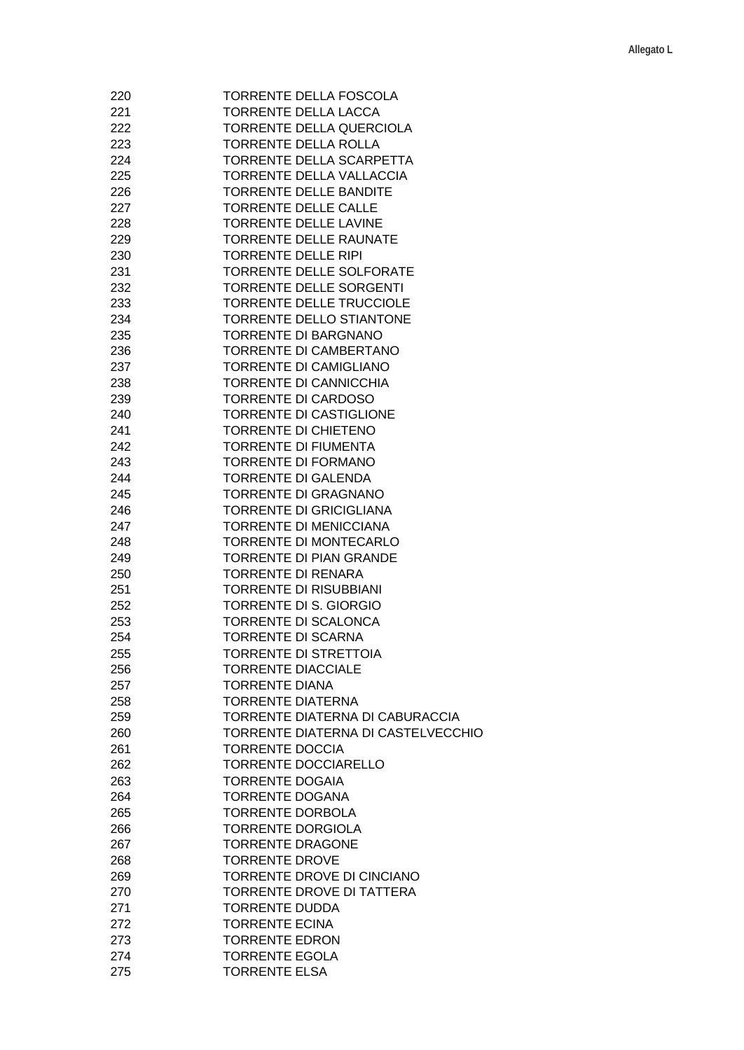| 220 | TORRENTE DELLA FOSCOLA             |
|-----|------------------------------------|
| 221 | <b>TORRENTE DELLA LACCA</b>        |
| 222 | TORRENTE DELLA QUERCIOLA           |
| 223 | <b>TORRENTE DELLA ROLLA</b>        |
| 224 | TORRENTE DELLA SCARPETTA           |
| 225 | <b>TORRENTE DELLA VALLACCIA</b>    |
|     | <b>TORRENTE DELLE BANDITE</b>      |
| 226 |                                    |
| 227 | <b>TORRENTE DELLE CALLE</b>        |
| 228 | <b>TORRENTE DELLE LAVINE</b>       |
| 229 | <b>TORRENTE DELLE RAUNATE</b>      |
| 230 | <b>TORRENTE DELLE RIPI</b>         |
| 231 | TORRENTE DELLE SOLFORATE           |
| 232 | TORRENTE DELLE SORGENTI            |
| 233 | <b>TORRENTE DELLE TRUCCIOLE</b>    |
| 234 | TORRENTE DELLO STIANTONE           |
| 235 | <b>TORRENTE DI BARGNANO</b>        |
| 236 | <b>TORRENTE DI CAMBERTANO</b>      |
| 237 | <b>TORRENTE DI CAMIGLIANO</b>      |
| 238 | <b>TORRENTE DI CANNICCHIA</b>      |
| 239 | <b>TORRENTE DI CARDOSO</b>         |
|     | <b>TORRENTE DI CASTIGLIONE</b>     |
| 240 |                                    |
| 241 | <b>TORRENTE DI CHIETENO</b>        |
| 242 | <b>TORRENTE DI FIUMENTA</b>        |
| 243 | <b>TORRENTE DI FORMANO</b>         |
| 244 | <b>TORRENTE DI GALENDA</b>         |
| 245 | <b>TORRENTE DI GRAGNANO</b>        |
| 246 | <b>TORRENTE DI GRICIGLIANA</b>     |
| 247 | <b>TORRENTE DI MENICCIANA</b>      |
| 248 | TORRENTE DI MONTECARLO             |
| 249 | <b>TORRENTE DI PIAN GRANDE</b>     |
| 250 | <b>TORRENTE DI RENARA</b>          |
| 251 | <b>TORRENTE DI RISUBBIANI</b>      |
| 252 | <b>TORRENTE DI S. GIORGIO</b>      |
| 253 | TORRENTE DI SCALONCA               |
| 254 | <b>TORRENTE DI SCARNA</b>          |
|     | <b>TORRENTE DI STRETTOIA</b>       |
| 255 |                                    |
| 256 | <b>TORRENTE DIACCIALE</b>          |
| 257 | <b>TORRENTE DIANA</b>              |
| 258 | <b>TORRENTE DIATERNA</b>           |
| 259 | TORRENTE DIATERNA DI CABURACCIA    |
| 260 | TORRENTE DIATERNA DI CASTELVECCHIO |
| 261 | <b>TORRENTE DOCCIA</b>             |
| 262 | <b>TORRENTE DOCCIARELLO</b>        |
| 263 | <b>TORRENTE DOGAIA</b>             |
| 264 | <b>TORRENTE DOGANA</b>             |
| 265 | <b>TORRENTE DORBOLA</b>            |
| 266 | <b>TORRENTE DORGIOLA</b>           |
| 267 | <b>TORRENTE DRAGONE</b>            |
| 268 | <b>TORRENTE DROVE</b>              |
|     |                                    |
| 269 | TORRENTE DROVE DI CINCIANO         |
| 270 | <b>TORRENTE DROVE DI TATTERA</b>   |
| 271 | <b>TORRENTE DUDDA</b>              |
| 272 | <b>TORRENTE ECINA</b>              |
| 273 | <b>TORRENTE EDRON</b>              |
| 274 | <b>TORRENTE EGOLA</b>              |
| 275 | <b>TORRENTE ELSA</b>               |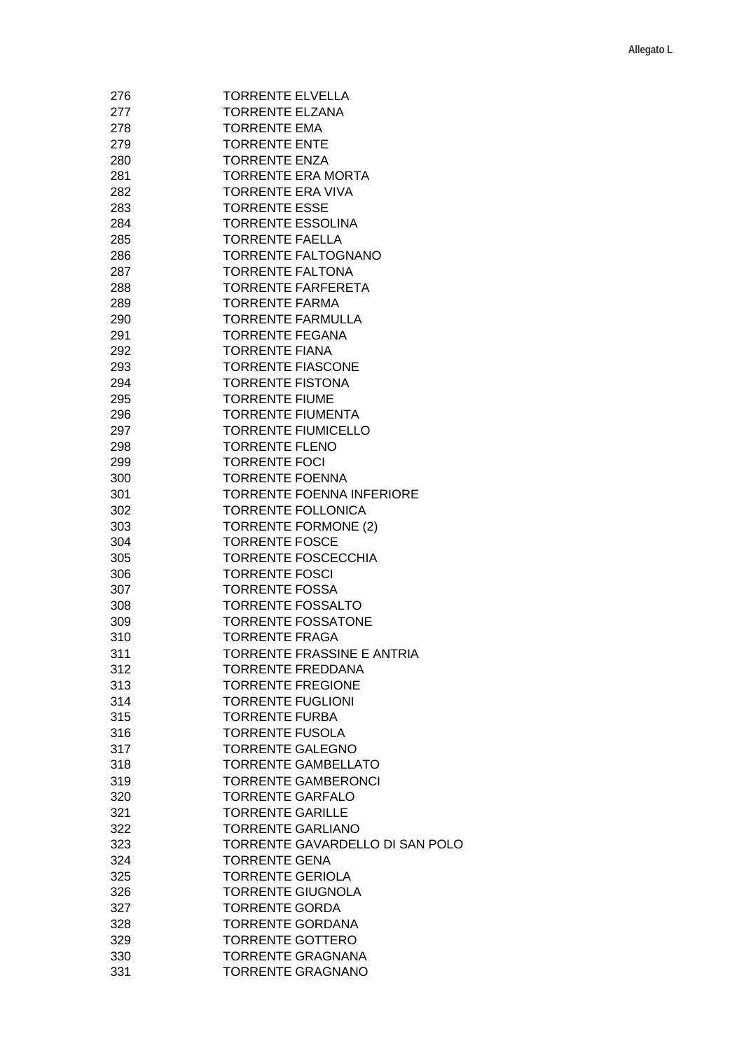| 276 | <b>TORRENTE ELVELLA</b>          |
|-----|----------------------------------|
| 277 | TORRENTE ELZANA                  |
| 278 | <b>TORRENTE EMA</b>              |
| 279 | <b>TORRENTE ENTE</b>             |
| 280 | <b>TORRENTE ENZA</b>             |
| 281 | <b>TORRENTE ERA MORTA</b>        |
| 282 | <b>TORRENTE ERA VIVA</b>         |
| 283 | <b>TORRENTE ESSE</b>             |
| 284 | <b>TORRENTE ESSOLINA</b>         |
| 285 | <b>TORRENTE FAELLA</b>           |
| 286 | TORRENTE FALTOGNANO              |
| 287 | <b>TORRENTE FALTONA</b>          |
| 288 | <b>TORRENTE FARFERETA</b>        |
| 289 | <b>TORRENTE FARMA</b>            |
| 290 | <b>TORRENTE FARMULLA</b>         |
| 291 | <b>TORRENTE FEGANA</b>           |
| 292 | <b>TORRENTE FIANA</b>            |
| 293 | <b>TORRENTE FIASCONE</b>         |
| 294 | <b>TORRENTE FISTONA</b>          |
| 295 | <b>TORRENTE FIUME</b>            |
| 296 | <b>TORRENTE FIUMENTA</b>         |
| 297 | <b>TORRENTE FIUMICELLO</b>       |
| 298 | <b>TORRENTE FLENO</b>            |
| 299 | <b>TORRENTE FOCI</b>             |
| 300 | <b>TORRENTE FOENNA</b>           |
| 301 | <b>TORRENTE FOENNA INFERIORE</b> |
| 302 | <b>TORRENTE FOLLONICA</b>        |
| 303 | <b>TORRENTE FORMONE (2)</b>      |
| 304 | <b>TORRENTE FOSCE</b>            |
| 305 | <b>TORRENTE FOSCECCHIA</b>       |
| 306 | <b>TORRENTE FOSCI</b>            |
| 307 | <b>TORRENTE FOSSA</b>            |
| 308 | <b>TORRENTE FOSSALTO</b>         |
| 309 | <b>TORRENTE FOSSATONE</b>        |
| 310 | <b>TORRENTE FRAGA</b>            |
| 311 | TORRENTE FRASSINE E ANTRIA       |
| 312 | <b>TORRENTE FREDDANA</b>         |
| 313 | <b>TORRENTE FREGIONE</b>         |
| 314 | <b>TORRENTE FUGLIONI</b>         |
| 315 | <b>TORRENTE FURBA</b>            |
| 316 | <b>TORRENTE FUSOLA</b>           |
| 317 | <b>TORRENTE GALEGNO</b>          |
| 318 | <b>TORRENTE GAMBELLATO</b>       |
| 319 | <b>TORRENTE GAMBERONCI</b>       |
| 320 | <b>TORRENTE GARFALO</b>          |
| 321 | <b>TORRENTE GARILLE</b>          |
| 322 | <b>TORRENTE GARLIANO</b>         |
| 323 | TORRENTE GAVARDELLO DI SAN POLO  |
| 324 | <b>TORRENTE GENA</b>             |
| 325 | <b>TORRENTE GERIOLA</b>          |
| 326 | <b>TORRENTE GIUGNOLA</b>         |
| 327 | <b>TORRENTE GORDA</b>            |
| 328 | <b>TORRENTE GORDANA</b>          |
| 329 | <b>TORRENTE GOTTERO</b>          |
| 330 | <b>TORRENTE GRAGNANA</b>         |
| 331 | <b>TORRENTE GRAGNANO</b>         |
|     |                                  |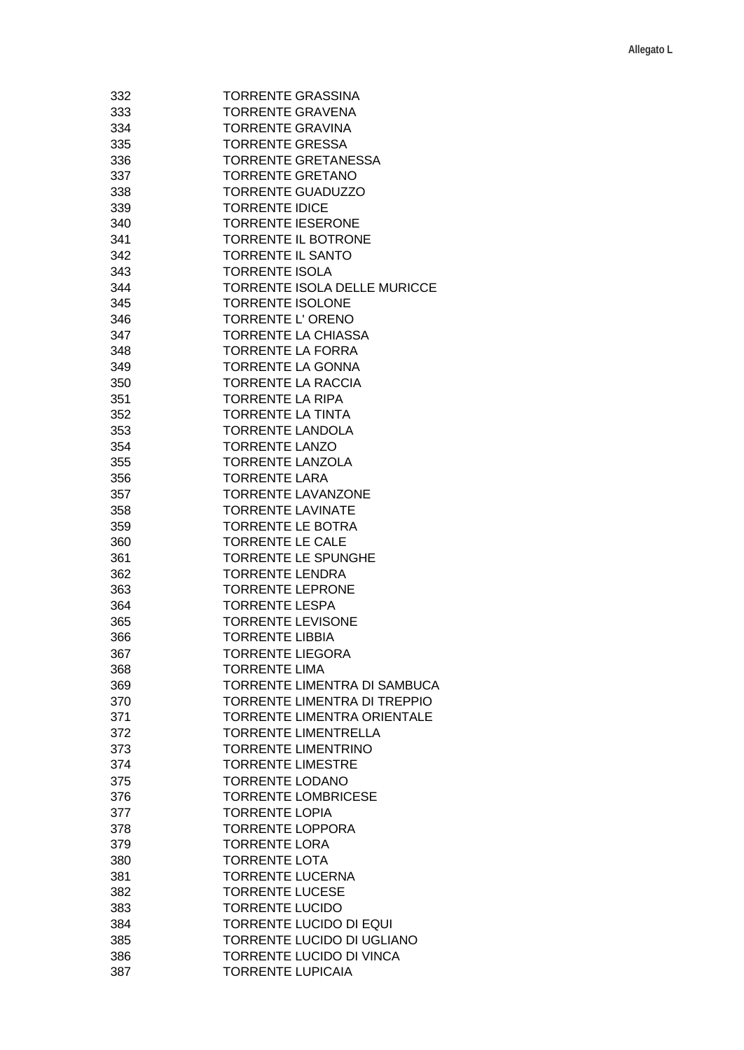| 332 | <b>TORRENTE GRASSINA</b>            |
|-----|-------------------------------------|
| 333 | TORRENTE GRAVENA                    |
| 334 | <b>TORRENTE GRAVINA</b>             |
| 335 | <b>TORRENTE GRESSA</b>              |
| 336 | <b>TORRENTE GRETANESSA</b>          |
| 337 | <b>TORRENTE GRETANO</b>             |
| 338 | <b>TORRENTE GUADUZZO</b>            |
| 339 | <b>TORRENTE IDICE</b>               |
| 340 | <b>TORRENTE IESERONE</b>            |
| 341 | <b>TORRENTE IL BOTRONE</b>          |
| 342 | <b>TORRENTE IL SANTO</b>            |
|     |                                     |
| 343 | <b>TORRENTE ISOLA</b>               |
| 344 | TORRENTE ISOLA DELLE MURICCE        |
| 345 | <b>TORRENTE ISOLONE</b>             |
| 346 | TORRENTE L'ORENO                    |
| 347 | <b>TORRENTE LA CHIASSA</b>          |
| 348 | <b>TORRENTE LA FORRA</b>            |
| 349 | <b>TORRENTE LA GONNA</b>            |
| 350 | <b>TORRENTE LA RACCIA</b>           |
| 351 | <b>TORRENTE LA RIPA</b>             |
| 352 | <b>TORRENTE LA TINTA</b>            |
| 353 | <b>TORRENTE LANDOLA</b>             |
| 354 | <b>TORRENTE LANZO</b>               |
| 355 | <b>TORRENTE LANZOLA</b>             |
| 356 | <b>TORRENTE LARA</b>                |
| 357 | <b>TORRENTE LAVANZONE</b>           |
| 358 | <b>TORRENTE LAVINATE</b>            |
| 359 | <b>TORRENTE LE BOTRA</b>            |
| 360 | <b>TORRENTE LE CALE</b>             |
| 361 | <b>TORRENTE LE SPUNGHE</b>          |
| 362 | <b>TORRENTE LENDRA</b>              |
| 363 | <b>TORRENTE LEPRONE</b>             |
| 364 | <b>TORRENTE LESPA</b>               |
| 365 | <b>TORRENTE LEVISONE</b>            |
| 366 | <b>TORRENTE LIBBIA</b>              |
|     | <b>TORRENTE LIEGORA</b>             |
| 367 | <b>TORRENTE LIMA</b>                |
| 368 |                                     |
| 369 | <b>TORRENTE LIMENTRA DI SAMBUCA</b> |
| 370 | <b>TORRENTE LIMENTRA DI TREPPIO</b> |
| 371 | <b>TORRENTE LIMENTRA ORIENTALE</b>  |
| 372 | <b>TORRENTE LIMENTRELLA</b>         |
| 373 | <b>TORRENTE LIMENTRINO</b>          |
| 374 | <b>TORRENTE LIMESTRE</b>            |
| 375 | <b>TORRENTE LODANO</b>              |
| 376 | <b>TORRENTE LOMBRICESE</b>          |
| 377 | <b>TORRENTE LOPIA</b>               |
| 378 | <b>TORRENTE LOPPORA</b>             |
| 379 | <b>TORRENTE LORA</b>                |
| 380 | <b>TORRENTE LOTA</b>                |
| 381 | <b>TORRENTE LUCERNA</b>             |
| 382 | <b>TORRENTE LUCESE</b>              |
| 383 | <b>TORRENTE LUCIDO</b>              |
| 384 | <b>TORRENTE LUCIDO DI EQUI</b>      |
| 385 | TORRENTE LUCIDO DI UGLIANO          |
| 386 | TORRENTE LUCIDO DI VINCA            |
| 387 | <b>TORRENTE LUPICAIA</b>            |
|     |                                     |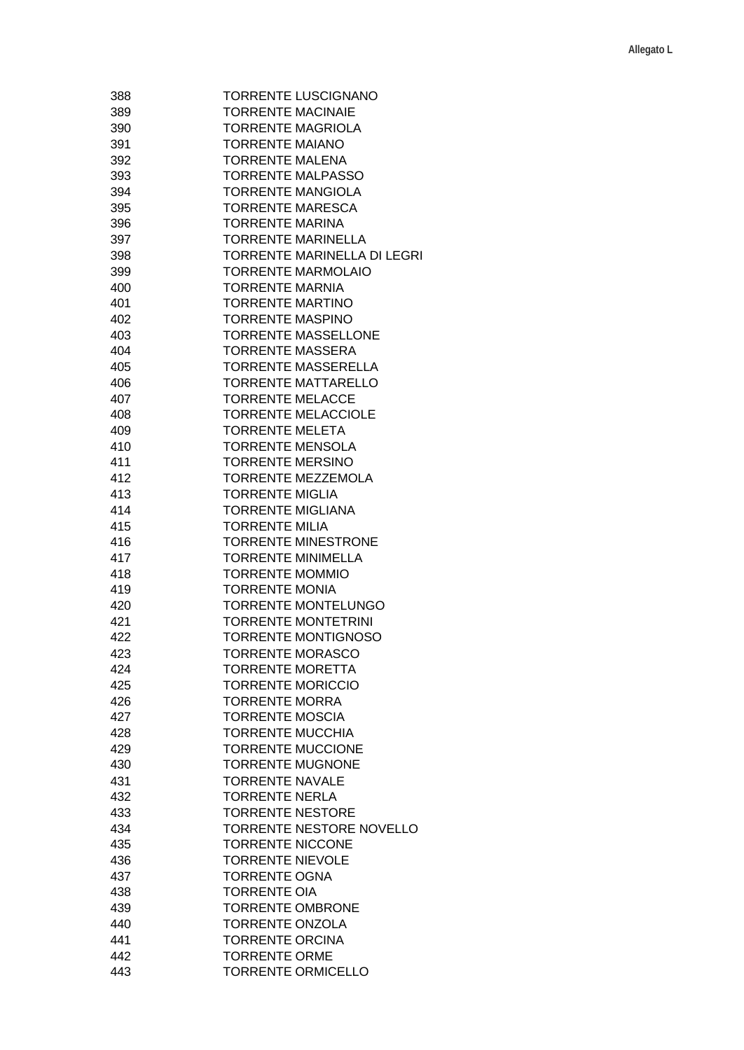| 388 | TORRENTE LUSCIGNANO                |
|-----|------------------------------------|
| 389 | <b>TORRENTE MACINAIE</b>           |
| 390 | <b>TORRENTE MAGRIOLA</b>           |
| 391 | <b>TORRENTE MAIANO</b>             |
| 392 | <b>TORRENTE MALENA</b>             |
| 393 | <b>TORRENTE MALPASSO</b>           |
| 394 | <b>TORRENTE MANGIOLA</b>           |
| 395 | <b>TORRENTE MARESCA</b>            |
| 396 | <b>TORRENTE MARINA</b>             |
| 397 | <b>TORRENTE MARINELLA</b>          |
| 398 | <b>TORRENTE MARINELLA DI LEGRI</b> |
| 399 | <b>TORRENTE MARMOLAIO</b>          |
| 400 | <b>TORRENTE MARNIA</b>             |
|     | <b>TORRENTE MARTINO</b>            |
| 401 |                                    |
| 402 | <b>TORRENTE MASPINO</b>            |
| 403 | <b>TORRENTE MASSELLONE</b>         |
| 404 | <b>TORRENTE MASSERA</b>            |
| 405 | <b>TORRENTE MASSERELLA</b>         |
| 406 | <b>TORRENTE MATTARELLO</b>         |
| 407 | <b>TORRENTE MELACCE</b>            |
| 408 | <b>TORRENTE MELACCIOLE</b>         |
| 409 | <b>TORRENTE MELETA</b>             |
| 410 | <b>TORRENTE MENSOLA</b>            |
| 411 | <b>TORRENTE MERSINO</b>            |
| 412 | <b>TORRENTE MEZZEMOLA</b>          |
| 413 | <b>TORRENTE MIGLIA</b>             |
| 414 | <b>TORRENTE MIGLIANA</b>           |
| 415 | <b>TORRENTE MILIA</b>              |
| 416 | <b>TORRENTE MINESTRONE</b>         |
| 417 | <b>TORRENTE MINIMELLA</b>          |
| 418 | <b>TORRENTE MOMMIO</b>             |
| 419 | <b>TORRENTE MONIA</b>              |
| 420 | <b>TORRENTE MONTELUNGO</b>         |
| 421 | <b>TORRENTE MONTETRINI</b>         |
| 422 | <b>TORRENTE MONTIGNOSO</b>         |
| 423 | <b>TORRENTE MORASCO</b>            |
| 424 | <b>TORRENTE MORETTA</b>            |
| 425 | <b>TORRENTE MORICCIO</b>           |
| 426 | TORRENTE MORRA                     |
| 427 | <b>TORRENTE MOSCIA</b>             |
| 428 | <b>TORRENTE MUCCHIA</b>            |
| 429 | <b>TORRENTE MUCCIONE</b>           |
| 430 | <b>TORRENTE MUGNONE</b>            |
|     |                                    |
| 431 | <b>TORRENTE NAVALE</b>             |
| 432 | <b>TORRENTE NERLA</b>              |
| 433 | <b>TORRENTE NESTORE</b>            |
| 434 | TORRENTE NESTORE NOVELLO           |
| 435 | <b>TORRENTE NICCONE</b>            |
| 436 | <b>TORRENTE NIEVOLE</b>            |
| 437 | <b>TORRENTE OGNA</b>               |
| 438 | <b>TORRENTE OIA</b>                |
| 439 | <b>TORRENTE OMBRONE</b>            |
| 440 | <b>TORRENTE ONZOLA</b>             |
| 441 | <b>TORRENTE ORCINA</b>             |
| 442 | <b>TORRENTE ORME</b>               |
| 443 | <b>TORRENTE ORMICELLO</b>          |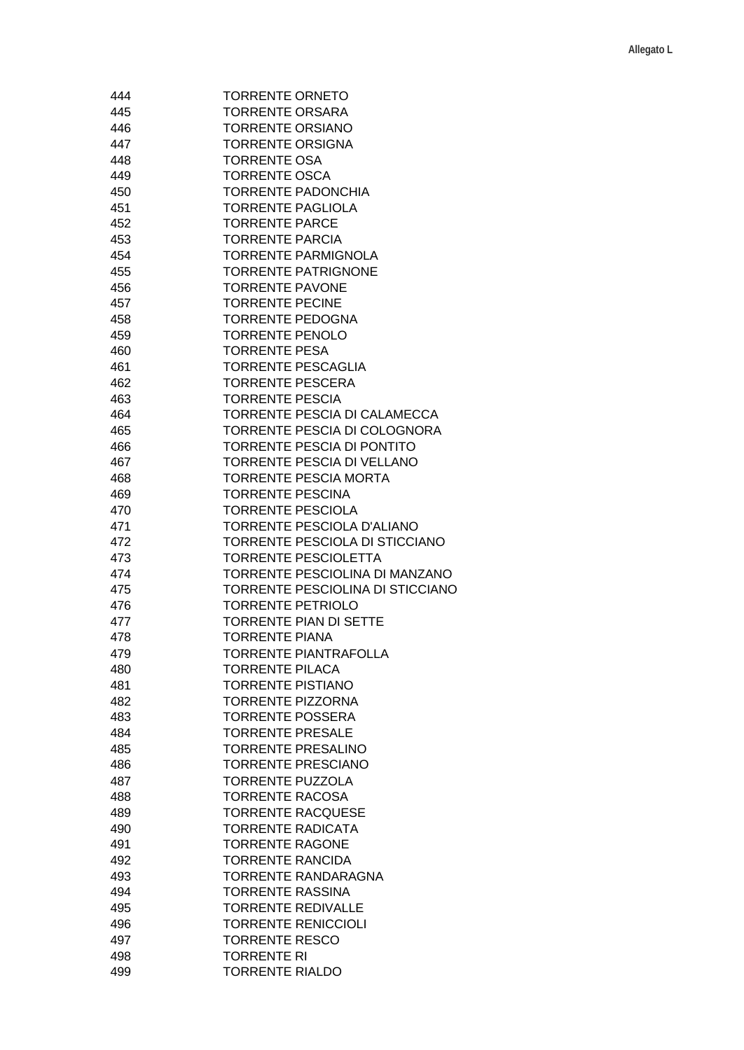| 444 | <b>TORRENTE ORNETO</b>           |
|-----|----------------------------------|
| 445 | <b>TORRENTE ORSARA</b>           |
| 446 | <b>TORRENTE ORSIANO</b>          |
| 447 | <b>TORRENTE ORSIGNA</b>          |
| 448 | <b>TORRENTE OSA</b>              |
| 449 | <b>TORRENTE OSCA</b>             |
| 450 | <b>TORRENTE PADONCHIA</b>        |
| 451 | <b>TORRENTE PAGLIOLA</b>         |
| 452 | <b>TORRENTE PARCE</b>            |
| 453 | <b>TORRENTE PARCIA</b>           |
| 454 | <b>TORRENTE PARMIGNOLA</b>       |
| 455 | <b>TORRENTE PATRIGNONE</b>       |
| 456 | <b>TORRENTE PAVONE</b>           |
|     |                                  |
| 457 | <b>TORRENTE PECINE</b>           |
| 458 | <b>TORRENTE PEDOGNA</b>          |
| 459 | <b>TORRENTE PENOLO</b>           |
| 460 | <b>TORRENTE PESA</b>             |
| 461 | <b>TORRENTE PESCAGLIA</b>        |
| 462 | <b>TORRENTE PESCERA</b>          |
| 463 | <b>TORRENTE PESCIA</b>           |
| 464 | TORRENTE PESCIA DI CALAMECCA     |
| 465 | TORRENTE PESCIA DI COLOGNORA     |
| 466 | TORRENTE PESCIA DI PONTITO       |
| 467 | TORRENTE PESCIA DI VELLANO       |
| 468 | <b>TORRENTE PESCIA MORTA</b>     |
| 469 | <b>TORRENTE PESCINA</b>          |
| 470 | <b>TORRENTE PESCIOLA</b>         |
| 471 | TORRENTE PESCIOLA D'ALIANO       |
| 472 | TORRENTE PESCIOLA DI STICCIANO   |
| 473 | <b>TORRENTE PESCIOLETTA</b>      |
| 474 | TORRENTE PESCIOLINA DI MANZANO   |
| 475 | TORRENTE PESCIOLINA DI STICCIANO |
| 476 | <b>TORRENTE PETRIOLO</b>         |
| 477 | <b>TORRENTE PIAN DI SETTE</b>    |
| 478 | <b>TORRENTE PIANA</b>            |
| 479 | <b>TORRENTE PIANTRAFOLLA</b>     |
| 480 | <b>TORRENTE PILACA</b>           |
| 481 | <b>TORRENTE PISTIANO</b>         |
| 482 | <b>TORRENTE PIZZORNA</b>         |
| 483 | <b>TORRENTE POSSERA</b>          |
| 484 | <b>TORRENTE PRESALE</b>          |
| 485 | <b>TORRENTE PRESALINO</b>        |
| 486 | <b>TORRENTE PRESCIANO</b>        |
| 487 | <b>TORRENTE PUZZOLA</b>          |
| 488 | <b>TORRENTE RACOSA</b>           |
| 489 | <b>TORRENTE RACQUESE</b>         |
|     |                                  |
| 490 | <b>TORRENTE RADICATA</b>         |
| 491 | <b>TORRENTE RAGONE</b>           |
| 492 | <b>TORRENTE RANCIDA</b>          |
| 493 | TORRENTE RANDARAGNA              |
| 494 | <b>TORRENTE RASSINA</b>          |
| 495 | <b>TORRENTE REDIVALLE</b>        |
| 496 | <b>TORRENTE RENICCIOLI</b>       |
| 497 | <b>TORRENTE RESCO</b>            |
| 498 | <b>TORRENTE RI</b>               |
| 499 | <b>TORRENTE RIALDO</b>           |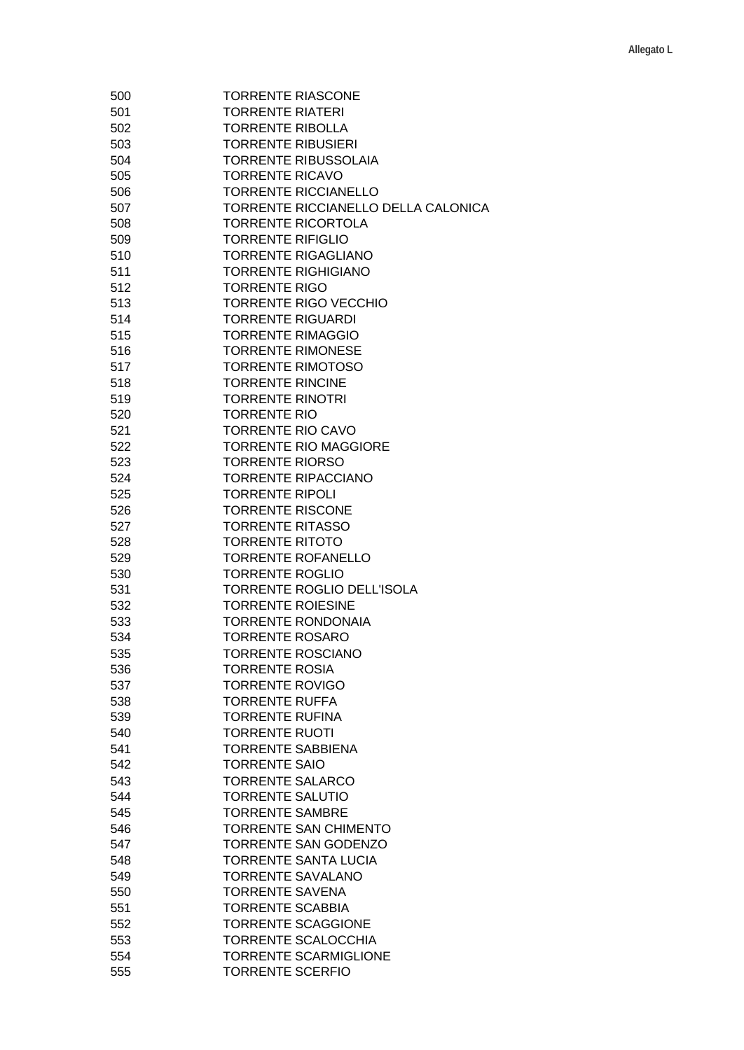| 500 | <b>TORRENTE RIASCONE</b>            |
|-----|-------------------------------------|
| 501 | <b>TORRENTE RIATERI</b>             |
| 502 | <b>TORRENTE RIBOLLA</b>             |
| 503 | <b>TORRENTE RIBUSIERI</b>           |
| 504 | <b>TORRENTE RIBUSSOLAIA</b>         |
| 505 | <b>TORRENTE RICAVO</b>              |
| 506 | <b>TORRENTE RICCIANELLO</b>         |
| 507 | TORRENTE RICCIANELLO DELLA CALONICA |
| 508 | <b>TORRENTE RICORTOLA</b>           |
| 509 | <b>TORRENTE RIFIGLIO</b>            |
| 510 | <b>TORRENTE RIGAGLIANO</b>          |
| 511 | <b>TORRENTE RIGHIGIANO</b>          |
| 512 | <b>TORRENTE RIGO</b>                |
| 513 | <b>TORRENTE RIGO VECCHIO</b>        |
| 514 | <b>TORRENTE RIGUARDI</b>            |
|     | <b>TORRENTE RIMAGGIO</b>            |
| 515 |                                     |
| 516 | <b>TORRENTE RIMONESE</b>            |
| 517 | <b>TORRENTE RIMOTOSO</b>            |
| 518 | <b>TORRENTE RINCINE</b>             |
| 519 | <b>TORRENTE RINOTRI</b>             |
| 520 | <b>TORRENTE RIO</b>                 |
| 521 | <b>TORRENTE RIO CAVO</b>            |
| 522 | <b>TORRENTE RIO MAGGIORE</b>        |
| 523 | <b>TORRENTE RIORSO</b>              |
| 524 | <b>TORRENTE RIPACCIANO</b>          |
| 525 | <b>TORRENTE RIPOLI</b>              |
| 526 | <b>TORRENTE RISCONE</b>             |
| 527 | <b>TORRENTE RITASSO</b>             |
| 528 | <b>TORRENTE RITOTO</b>              |
| 529 | <b>TORRENTE ROFANELLO</b>           |
| 530 | <b>TORRENTE ROGLIO</b>              |
| 531 | TORRENTE ROGLIO DELL'ISOLA          |
| 532 | <b>TORRENTE ROIESINE</b>            |
| 533 | <b>TORRENTE RONDONAIA</b>           |
| 534 | <b>TORRENTE ROSARO</b>              |
| 535 | <b>TORRENTE ROSCIANO</b>            |
| 536 | <b>TORRENTE ROSIA</b>               |
| 537 | <b>TORRENTE ROVIGO</b>              |
| 538 | <b>TORRENTE RUFFA</b>               |
| 539 | <b>TORRENTE RUFINA</b>              |
| 540 | <b>TORRENTE RUOTI</b>               |
| 541 | <b>TORRENTE SABBIENA</b>            |
| 542 | <b>TORRENTE SAIO</b>                |
| 543 | <b>TORRENTE SALARCO</b>             |
| 544 | <b>TORRENTE SALUTIO</b>             |
|     |                                     |
| 545 | <b>TORRENTE SAMBRE</b>              |
| 546 | <b>TORRENTE SAN CHIMENTO</b>        |
| 547 | <b>TORRENTE SAN GODENZO</b>         |
| 548 | <b>TORRENTE SANTA LUCIA</b>         |
| 549 | <b>TORRENTE SAVALANO</b>            |
| 550 | <b>TORRENTE SAVENA</b>              |
| 551 | <b>TORRENTE SCABBIA</b>             |
| 552 | <b>TORRENTE SCAGGIONE</b>           |
| 553 | <b>TORRENTE SCALOCCHIA</b>          |
| 554 | <b>TORRENTE SCARMIGLIONE</b>        |
| 555 | <b>TORRENTE SCERFIO</b>             |
|     |                                     |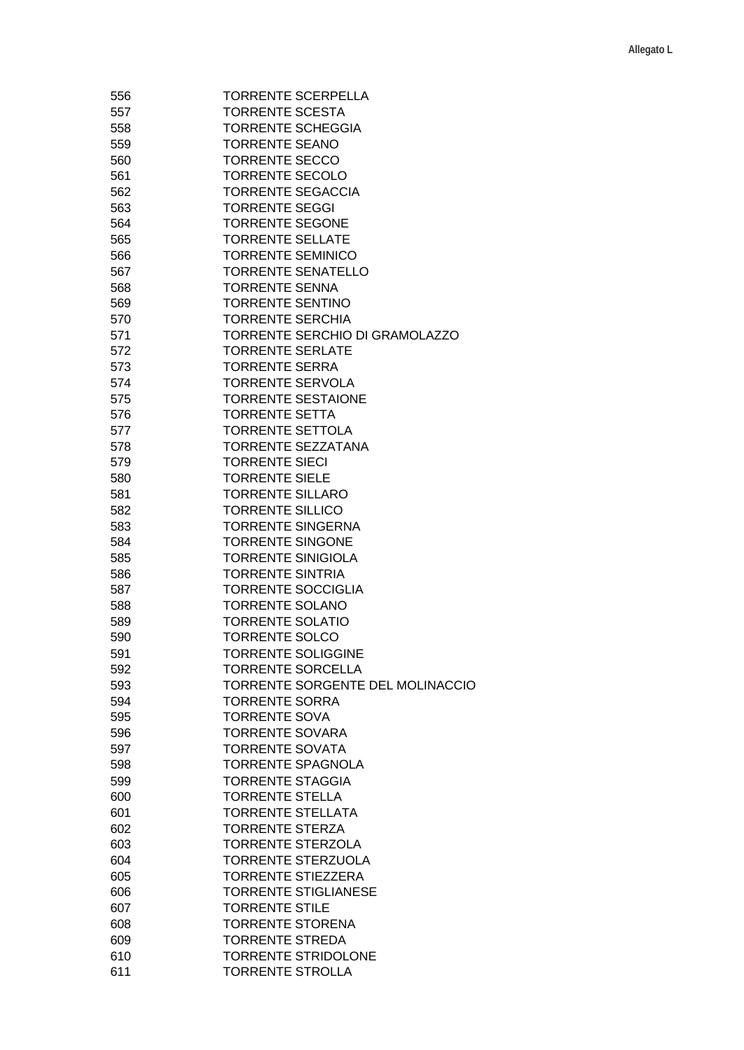| 556 | <b>TORRENTE SCERPELLA</b>             |
|-----|---------------------------------------|
| 557 | <b>TORRENTE SCESTA</b>                |
| 558 | <b>TORRENTE SCHEGGIA</b>              |
|     |                                       |
| 559 | <b>TORRENTE SEANO</b>                 |
| 560 | <b>TORRENTE SECCO</b>                 |
| 561 | <b>TORRENTE SECOLO</b>                |
| 562 | <b>TORRENTE SEGACCIA</b>              |
| 563 | <b>TORRENTE SEGGI</b>                 |
| 564 | <b>TORRENTE SEGONE</b>                |
| 565 | <b>TORRENTE SELLATE</b>               |
| 566 | <b>TORRENTE SEMINICO</b>              |
| 567 | <b>TORRENTE SENATELLO</b>             |
|     |                                       |
| 568 | <b>TORRENTE SENNA</b>                 |
| 569 | <b>TORRENTE SENTINO</b>               |
| 570 | <b>TORRENTE SERCHIA</b>               |
| 571 | <b>TORRENTE SERCHIO DI GRAMOLAZZO</b> |
| 572 | <b>TORRENTE SERLATE</b>               |
| 573 | <b>TORRENTE SERRA</b>                 |
| 574 | <b>TORRENTE SERVOLA</b>               |
| 575 | <b>TORRENTE SESTAIONE</b>             |
| 576 | <b>TORRENTE SETTA</b>                 |
| 577 | <b>TORRENTE SETTOLA</b>               |
|     |                                       |
| 578 | TORRENTE SEZZATANA                    |
| 579 | <b>TORRENTE SIECI</b>                 |
| 580 | <b>TORRENTE SIELE</b>                 |
| 581 | <b>TORRENTE SILLARO</b>               |
| 582 | <b>TORRENTE SILLICO</b>               |
| 583 | <b>TORRENTE SINGERNA</b>              |
| 584 | <b>TORRENTE SINGONE</b>               |
| 585 | <b>TORRENTE SINIGIOLA</b>             |
| 586 | <b>TORRENTE SINTRIA</b>               |
| 587 | <b>TORRENTE SOCCIGLIA</b>             |
| 588 | <b>TORRENTE SOLANO</b>                |
|     |                                       |
| 589 | <b>TORRENTE SOLATIO</b>               |
| 590 | <b>TORRENTE SOLCO</b>                 |
| 591 | <b>TORRENTE SOLIGGINE</b>             |
| 592 | <b>TORRENTE SORCELLA</b>              |
| 593 | TORRENTE SORGENTE DEL MOLINACCIO      |
| 594 | <b>TORRENTE SORRA</b>                 |
| 595 | <b>TORRENTE SOVA</b>                  |
| 596 | <b>TORRENTE SOVARA</b>                |
| 597 | <b>TORRENTE SOVATA</b>                |
| 598 | <b>TORRENTE SPAGNOLA</b>              |
|     | <b>TORRENTE STAGGIA</b>               |
| 599 |                                       |
| 600 | <b>TORRENTE STELLA</b>                |
| 601 | <b>TORRENTE STELLATA</b>              |
| 602 | <b>TORRENTE STERZA</b>                |
| 603 | <b>TORRENTE STERZOLA</b>              |
| 604 | <b>TORRENTE STERZUOLA</b>             |
| 605 | <b>TORRENTE STIEZZERA</b>             |
| 606 | <b>TORRENTE STIGLIANESE</b>           |
| 607 | <b>TORRENTE STILE</b>                 |
| 608 | <b>TORRENTE STORENA</b>               |
|     | <b>TORRENTE STREDA</b>                |
| 609 |                                       |
| 610 | <b>TORRENTE STRIDOLONE</b>            |
| 611 | <b>TORRENTE STROLLA</b>               |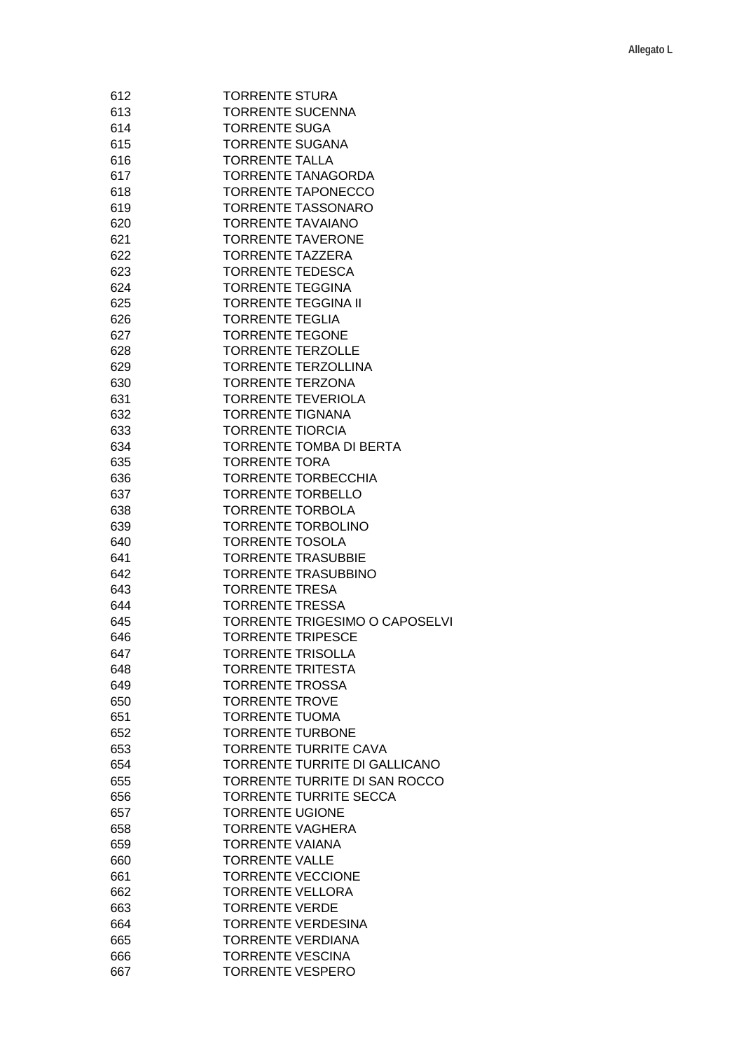| 612 | <b>TORRENTE STURA</b>          |
|-----|--------------------------------|
| 613 | <b>TORRENTE SUCENNA</b>        |
| 614 | <b>TORRENTE SUGA</b>           |
|     |                                |
| 615 | <b>TORRENTE SUGANA</b>         |
| 616 | <b>TORRENTE TALLA</b>          |
| 617 | <b>TORRENTE TANAGORDA</b>      |
| 618 | <b>TORRENTE TAPONECCO</b>      |
| 619 | <b>TORRENTE TASSONARO</b>      |
| 620 | <b>TORRENTE TAVAIANO</b>       |
| 621 | <b>TORRENTE TAVERONE</b>       |
| 622 | <b>TORRENTE TAZZERA</b>        |
| 623 | <b>TORRENTE TEDESCA</b>        |
| 624 | <b>TORRENTE TEGGINA</b>        |
| 625 | <b>TORRENTE TEGGINA II</b>     |
| 626 | <b>TORRENTE TEGLIA</b>         |
|     |                                |
| 627 | <b>TORRENTE TEGONE</b>         |
| 628 | <b>TORRENTE TERZOLLE</b>       |
| 629 | <b>TORRENTE TERZOLLINA</b>     |
| 630 | <b>TORRENTE TERZONA</b>        |
| 631 | <b>TORRENTE TEVERIOLA</b>      |
| 632 | <b>TORRENTE TIGNANA</b>        |
| 633 | <b>TORRENTE TIORCIA</b>        |
| 634 | <b>TORRENTE TOMBA DI BERTA</b> |
| 635 | <b>TORRENTE TORA</b>           |
| 636 | <b>TORRENTE TORBECCHIA</b>     |
| 637 | <b>TORRENTE TORBELLO</b>       |
| 638 | <b>TORRENTE TORBOLA</b>        |
| 639 | <b>TORRENTE TORBOLINO</b>      |
| 640 | <b>TORRENTE TOSOLA</b>         |
| 641 | <b>TORRENTE TRASUBBIE</b>      |
| 642 | <b>TORRENTE TRASUBBINO</b>     |
| 643 | <b>TORRENTE TRESA</b>          |
| 644 | <b>TORRENTE TRESSA</b>         |
| 645 | TORRENTE TRIGESIMO O CAPOSELVI |
| 646 | <b>TORRENTE TRIPESCE</b>       |
|     | <b>TORRENTE TRISOLLA</b>       |
| 647 |                                |
| 648 | <b>TORRENTE TRITESTA</b>       |
| 649 | <b>TORRENTE TROSSA</b>         |
| 650 | <b>TORRENTE TROVE</b>          |
| 651 | <b>TORRENTE TUOMA</b>          |
| 652 | <b>TORRENTE TURBONE</b>        |
| 653 | <b>TORRENTE TURRITE CAVA</b>   |
| 654 | TORRENTE TURRITE DI GALLICANO  |
| 655 | TORRENTE TURRITE DI SAN ROCCO  |
| 656 | <b>TORRENTE TURRITE SECCA</b>  |
| 657 | <b>TORRENTE UGIONE</b>         |
| 658 | <b>TORRENTE VAGHERA</b>        |
| 659 | <b>TORRENTE VAIANA</b>         |
| 660 | <b>TORRENTE VALLE</b>          |
| 661 | <b>TORRENTE VECCIONE</b>       |
| 662 | <b>TORRENTE VELLORA</b>        |
| 663 | <b>TORRENTE VERDE</b>          |
| 664 | <b>TORRENTE VERDESINA</b>      |
| 665 | <b>TORRENTE VERDIANA</b>       |
| 666 | <b>TORRENTE VESCINA</b>        |
| 667 | <b>TORRENTE VESPERO</b>        |
|     |                                |